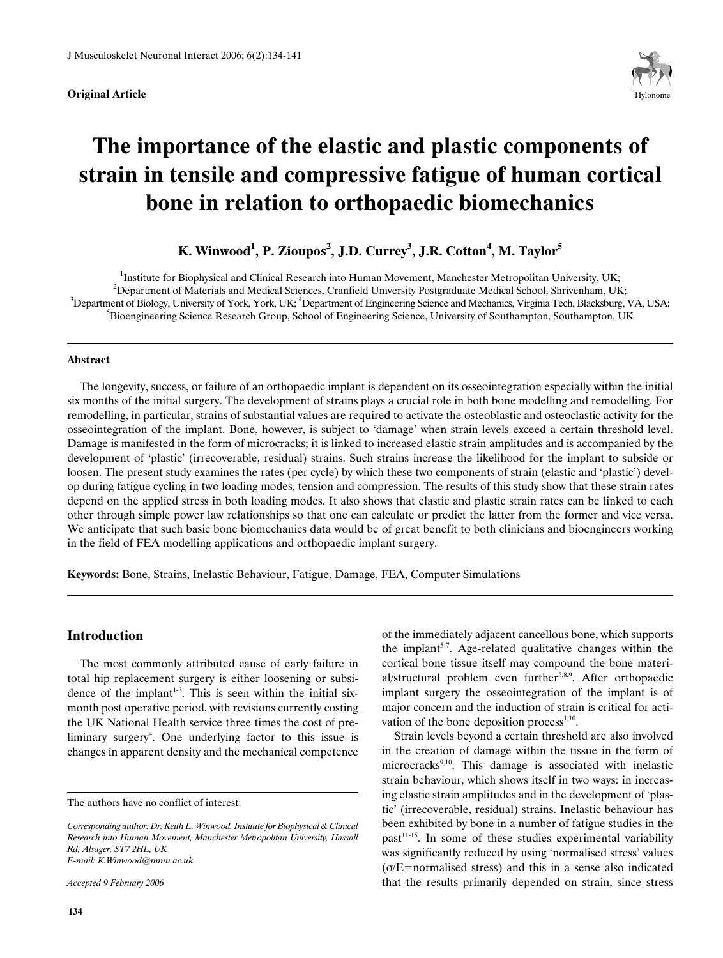

# **The importance of the elastic and plastic components of strain in tensile and compressive fatigue of human cortical bone in relation to orthopaedic biomechanics**

# $\boldsymbol{\mathrm{K}}$ . Winwood<sup>1</sup>, P. Zioupos<sup>2</sup>, J.D. Currey<sup>3</sup>, J.R. Cotton<sup>4</sup>, M. Taylor<sup>5</sup>

<sup>1</sup>Institute for Biophysical and Clinical Research into Human Movement, Manchester Metropolitan University, UK;  $^2$ Department of Materials and Medical Sciences, Cranfield University Postgraduate Medical School, Shrivenham, UK;  $^3$ Department of Biology, University of York, York, UK;  $^4$ Department of Engineering Science and Mechanics, Virginia Tech, Blacksburg, VA, USA; <sup>5</sup>Bioengineering Science Research Group, School of Engineering Science, University of Southampton, Southampton, UK

#### **Abstract**

The longevity, success, or failure of an orthopaedic implant is dependent on its osseointegration especially within the initial six months of the initial surgery. The development of strains plays a crucial role in both bone modelling and remodelling. For remodelling, in particular, strains of substantial values are required to activate the osteoblastic and osteoclastic activity for the osseointegration of the implant. Bone, however, is subject to 'damage' when strain levels exceed a certain threshold level. Damage is manifested in the form of microcracks; it is linked to increased elastic strain amplitudes and is accompanied by the development of 'plastic' (irrecoverable, residual) strains. Such strains increase the likelihood for the implant to subside or loosen. The present study examines the rates (per cycle) by which these two components of strain (elastic and 'plastic') develop during fatigue cycling in two loading modes, tension and compression. The results of this study show that these strain rates depend on the applied stress in both loading modes. It also shows that elastic and plastic strain rates can be linked to each other through simple power law relationships so that one can calculate or predict the latter from the former and vice versa. We anticipate that such basic bone biomechanics data would be of great benefit to both clinicians and bioengineers working in the field of FEA modelling applications and orthopaedic implant surgery.

**Keywords:** Bone, Strains, Inelastic Behaviour, Fatigue, Damage, FEA, Computer Simulations

## **Introduction**

The most commonly attributed cause of early failure in total hip replacement surgery is either loosening or subsidence of the implant<sup>1-3</sup>. This is seen within the initial sixmonth post operative period, with revisions currently costing the UK National Health service three times the cost of preliminary surgery<sup>4</sup>. One underlying factor to this issue is changes in apparent density and the mechanical competence

*Accepted 9 February 2006*

of the immediately adjacent cancellous bone, which supports the implant<sup>5-7</sup>. Age-related qualitative changes within the cortical bone tissue itself may compound the bone material/structural problem even further<sup>5,8,9</sup>. After orthopaedic implant surgery the osseointegration of the implant is of major concern and the induction of strain is critical for activation of the bone deposition process $1,10$ .

Strain levels beyond a certain threshold are also involved in the creation of damage within the tissue in the form of microcracks<sup>9,10</sup>. This damage is associated with inelastic strain behaviour, which shows itself in two ways: in increasing elastic strain amplitudes and in the development of 'plastic' (irrecoverable, residual) strains. Inelastic behaviour has been exhibited by bone in a number of fatigue studies in the  $past<sup>11-15</sup>$ . In some of these studies experimental variability was significantly reduced by using 'normalised stress' values  $(\sigma/E=$ normalised stress) and this in a sense also indicated that the results primarily depended on strain, since stress

The authors have no conflict of interest.

*Corresponding author: Dr. Keith L. Winwood, Institute for Biophysical & Clinical Research into Human Movement, Manchester Metropolitan University, Hassall Rd, Alsager, ST7 2HL, UK E-mail: K.Winwood@mmu.ac.uk*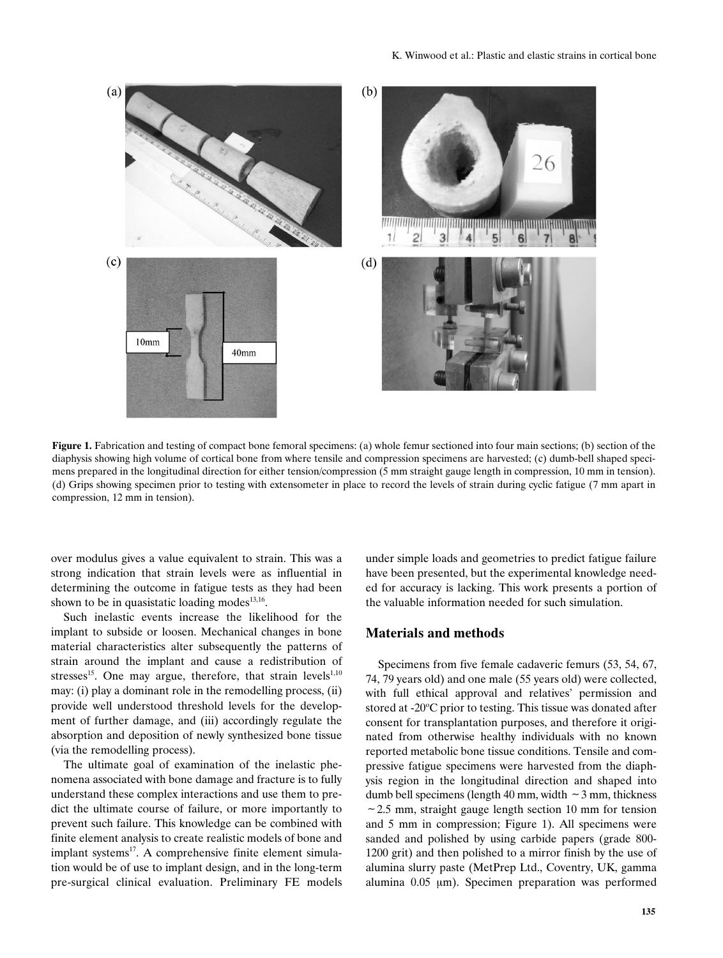

**Figure 1.** Fabrication and testing of compact bone femoral specimens: (a) whole femur sectioned into four main sections; (b) section of the diaphysis showing high volume of cortical bone from where tensile and compression specimens are harvested; (c) dumb-bell shaped specimens prepared in the longitudinal direction for either tension/compression (5 mm straight gauge length in compression, 10 mm in tension). (d) Grips showing specimen prior to testing with extensometer in place to record the levels of strain during cyclic fatigue (7 mm apart in compression, 12 mm in tension).

over modulus gives a value equivalent to strain. This was a strong indication that strain levels were as influential in determining the outcome in fatigue tests as they had been shown to be in quasistatic loading modes $^{13,16}$ .

Such inelastic events increase the likelihood for the implant to subside or loosen. Mechanical changes in bone material characteristics alter subsequently the patterns of strain around the implant and cause a redistribution of stresses<sup>15</sup>. One may argue, therefore, that strain levels<sup>1,10</sup> may: (i) play a dominant role in the remodelling process, (ii) provide well understood threshold levels for the development of further damage, and (iii) accordingly regulate the absorption and deposition of newly synthesized bone tissue (via the remodelling process).

The ultimate goal of examination of the inelastic phenomena associated with bone damage and fracture is to fully understand these complex interactions and use them to predict the ultimate course of failure, or more importantly to prevent such failure. This knowledge can be combined with finite element analysis to create realistic models of bone and implant systems<sup>17</sup>. A comprehensive finite element simulation would be of use to implant design, and in the long-term pre-surgical clinical evaluation. Preliminary FE models under simple loads and geometries to predict fatigue failure have been presented, but the experimental knowledge needed for accuracy is lacking. This work presents a portion of the valuable information needed for such simulation.

# **Materials and methods**

Specimens from five female cadaveric femurs (53, 54, 67, 74, 79 years old) and one male (55 years old) were collected, with full ethical approval and relatives' permission and stored at -20°C prior to testing. This tissue was donated after consent for transplantation purposes, and therefore it originated from otherwise healthy individuals with no known reported metabolic bone tissue conditions. Tensile and compressive fatigue specimens were harvested from the diaphysis region in the longitudinal direction and shaped into dumb bell specimens (length 40 mm, width  $\sim$  3 mm, thickness  $\sim$  2.5 mm, straight gauge length section 10 mm for tension and 5 mm in compression; Figure 1). All specimens were sanded and polished by using carbide papers (grade 800- 1200 grit) and then polished to a mirror finish by the use of alumina slurry paste (MetPrep Ltd., Coventry, UK, gamma alumina  $0.05 \mu m$ ). Specimen preparation was performed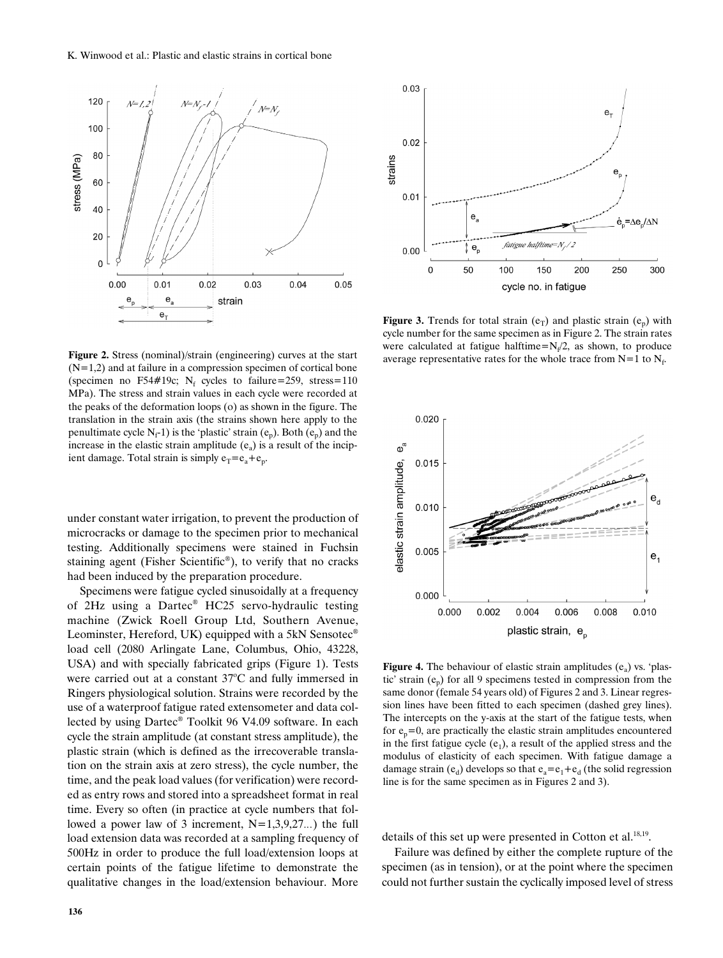

**Figure 2.** Stress (nominal)/strain (engineering) curves at the start  $(N=1,2)$  and at failure in a compression specimen of cortical bone (specimen no F54#19c; N<sub>f</sub> cycles to failure=259, stress=110 MPa). The stress and strain values in each cycle were recorded at the peaks of the deformation loops (o) as shown in the figure. The translation in the strain axis (the strains shown here apply to the penultimate cycle  $N_f$ -1) is the 'plastic' strain ( $e_p$ ). Both ( $e_p$ ) and the increase in the elastic strain amplitude  $(e_a)$  is a result of the incipient damage. Total strain is simply  $e_T = e_a + e_p$ .

under constant water irrigation, to prevent the production of microcracks or damage to the specimen prior to mechanical testing. Additionally specimens were stained in Fuchsin staining agent (Fisher Scientific®), to verify that no cracks had been induced by the preparation procedure.

Specimens were fatigue cycled sinusoidally at a frequency of 2Hz using a Dartec® HC25 servo-hydraulic testing machine (Zwick Roell Group Ltd, Southern Avenue, Leominster, Hereford, UK) equipped with a 5kN Sensotec<sup>®</sup> load cell (2080 Arlingate Lane, Columbus, Ohio, 43228, USA) and with specially fabricated grips (Figure 1). Tests were carried out at a constant 37°C and fully immersed in Ringers physiological solution. Strains were recorded by the use of a waterproof fatigue rated extensometer and data collected by using Dartec® Toolkit 96 V4.09 software. In each cycle the strain amplitude (at constant stress amplitude), the plastic strain (which is defined as the irrecoverable translation on the strain axis at zero stress), the cycle number, the time, and the peak load values (for verification) were recorded as entry rows and stored into a spreadsheet format in real time. Every so often (in practice at cycle numbers that followed a power law of 3 increment,  $N=1,3,9,27...$ ) the full load extension data was recorded at a sampling frequency of 500Hz in order to produce the full load/extension loops at certain points of the fatigue lifetime to demonstrate the qualitative changes in the load/extension behaviour. More



**Figure 3.** Trends for total strain  $(e_T)$  and plastic strain  $(e_n)$  with cycle number for the same specimen as in Figure 2. The strain rates were calculated at fatigue halftime= $N_f/2$ , as shown, to produce average representative rates for the whole trace from  $N=1$  to  $N_f$ .



**Figure 4.** The behaviour of elastic strain amplitudes  $(e_a)$  vs. 'plastic' strain  $(e_n)$  for all 9 specimens tested in compression from the same donor (female 54 years old) of Figures 2 and 3. Linear regression lines have been fitted to each specimen (dashed grey lines). The intercepts on the y-axis at the start of the fatigue tests, when for  $e_n=0$ , are practically the elastic strain amplitudes encountered in the first fatigue cycle  $(e_1)$ , a result of the applied stress and the modulus of elasticity of each specimen. With fatigue damage a damage strain (e<sub>d</sub>) develops so that  $e_a = e_1 + e_d$  (the solid regression line is for the same specimen as in Figures 2 and 3).

details of this set up were presented in Cotton et al.<sup>18,19</sup>.

Failure was defined by either the complete rupture of the specimen (as in tension), or at the point where the specimen could not further sustain the cyclically imposed level of stress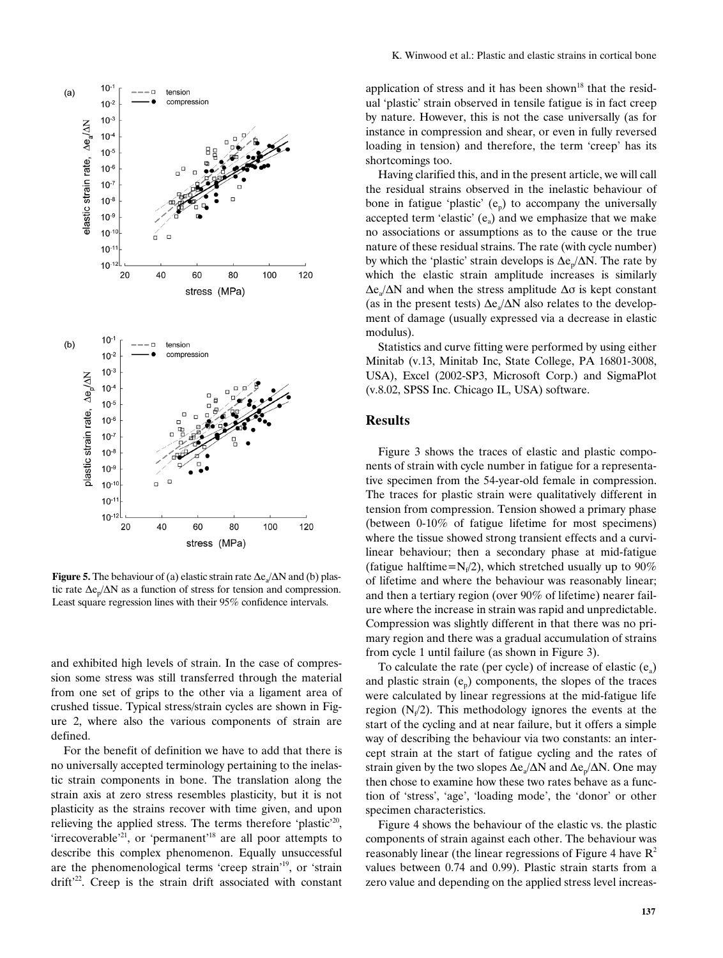

**Figure 5.** The behaviour of (a) elastic strain rate  $\Delta e_a/\Delta N$  and (b) plastic rate  $\Delta e_{n}/\Delta N$  as a function of stress for tension and compression. Least square regression lines with their 95% confidence intervals.

and exhibited high levels of strain. In the case of compression some stress was still transferred through the material from one set of grips to the other via a ligament area of crushed tissue. Typical stress/strain cycles are shown in Figure 2, where also the various components of strain are defined.

For the benefit of definition we have to add that there is no universally accepted terminology pertaining to the inelastic strain components in bone. The translation along the strain axis at zero stress resembles plasticity, but it is not plasticity as the strains recover with time given, and upon relieving the applied stress. The terms therefore 'plastic'<sup>20</sup>, 'irrecoverable'<sup>21</sup>, or 'permanent'<sup>18</sup> are all poor attempts to describe this complex phenomenon. Equally unsuccessful are the phenomenological terms 'creep strain'19, or 'strain drift<sup>22</sup>. Creep is the strain drift associated with constant

application of stress and it has been shown<sup>18</sup> that the residual 'plastic' strain observed in tensile fatigue is in fact creep by nature. However, this is not the case universally (as for instance in compression and shear, or even in fully reversed loading in tension) and therefore, the term 'creep' has its shortcomings too.

Having clarified this, and in the present article, we will call the residual strains observed in the inelastic behaviour of bone in fatigue 'plastic'  $(e_p)$  to accompany the universally accepted term 'elastic'  $(e_a)$  and we emphasize that we make no associations or assumptions as to the cause or the true nature of these residual strains. The rate (with cycle number) by which the 'plastic' strain develops is  $\Delta e_p/\Delta N$ . The rate by which the elastic strain amplitude increases is similarly  $\Delta e$ <sub>a</sub>/ $\Delta N$  and when the stress amplitude  $\Delta \sigma$  is kept constant (as in the present tests)  $\Delta e_a/\Delta N$  also relates to the development of damage (usually expressed via a decrease in elastic modulus).

Statistics and curve fitting were performed by using either Minitab (v.13, Minitab Inc, State College, PA 16801-3008, USA), Excel (2002-SP3, Microsoft Corp.) and SigmaPlot (v.8.02, SPSS Inc. Chicago IL, USA) software.

## **Results**

Figure 3 shows the traces of elastic and plastic components of strain with cycle number in fatigue for a representative specimen from the 54-year-old female in compression. The traces for plastic strain were qualitatively different in tension from compression. Tension showed a primary phase (between 0-10% of fatigue lifetime for most specimens) where the tissue showed strong transient effects and a curvilinear behaviour; then a secondary phase at mid-fatigue (fatigue halftime= $N_f/2$ ), which stretched usually up to 90% of lifetime and where the behaviour was reasonably linear; and then a tertiary region (over 90% of lifetime) nearer failure where the increase in strain was rapid and unpredictable. Compression was slightly different in that there was no primary region and there was a gradual accumulation of strains from cycle 1 until failure (as shown in Figure 3).

To calculate the rate (per cycle) of increase of elastic  $(e_a)$ and plastic strain  $(e_p)$  components, the slopes of the traces were calculated by linear regressions at the mid-fatigue life region  $(N_f/2)$ . This methodology ignores the events at the start of the cycling and at near failure, but it offers a simple way of describing the behaviour via two constants: an intercept strain at the start of fatigue cycling and the rates of strain given by the two slopes  $\Delta e_{\alpha}/\Delta N$  and  $\Delta e_{\alpha}/\Delta N$ . One may then chose to examine how these two rates behave as a function of 'stress', 'age', 'loading mode', the 'donor' or other specimen characteristics.

Figure 4 shows the behaviour of the elastic vs. the plastic components of strain against each other. The behaviour was reasonably linear (the linear regressions of Figure 4 have  $\mathbb{R}^2$ values between 0.74 and 0.99). Plastic strain starts from a zero value and depending on the applied stress level increas-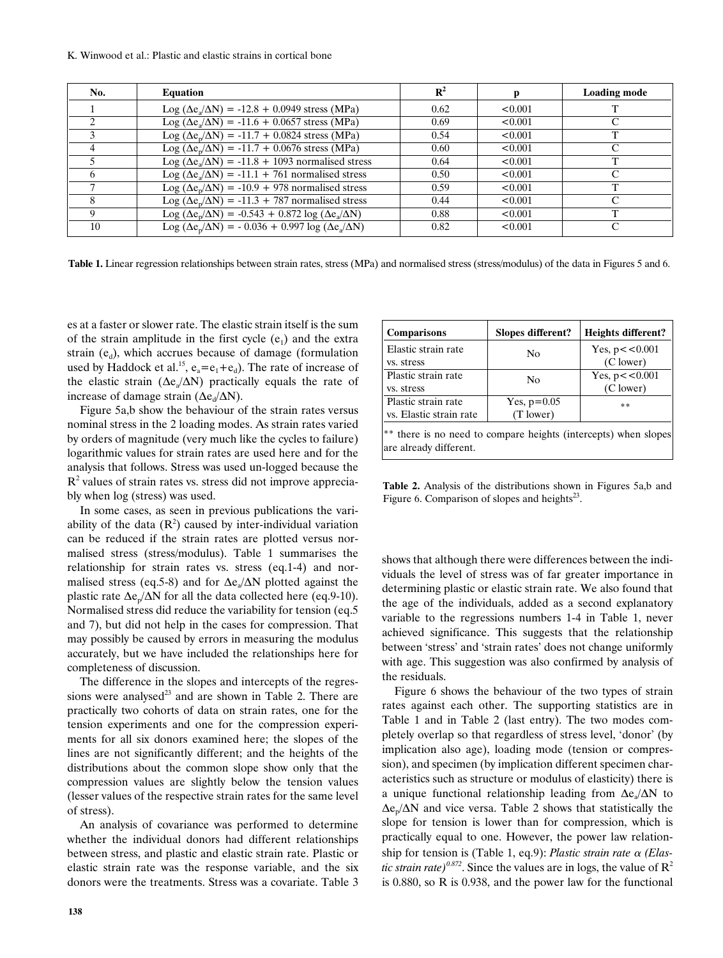| No. | <b>Equation</b>                                                               | $\mathbf{R}^2$ |         | <b>Loading mode</b> |
|-----|-------------------------------------------------------------------------------|----------------|---------|---------------------|
|     | $\text{Log} (\Delta e_s / \Delta N) = -12.8 + 0.0949$ stress (MPa)            | 0.62           | < 0.001 |                     |
|     | Log ( $\Delta$ e <sub>s</sub> / $\Delta$ N) = -11.6 + 0.0657 stress (MPa)     | 0.69           | < 0.001 |                     |
|     | Log ( $\Delta e_n / \Delta N$ ) = -11.7 + 0.0824 stress (MPa)                 | 0.54           | < 0.001 |                     |
|     | Log ( $\Delta e_n / \Delta N$ ) = -11.7 + 0.0676 stress (MPa)                 | 0.60           | < 0.001 |                     |
|     | Log ( $\Delta e_{a}/\Delta N$ ) = -11.8 + 1093 normalised stress              | 0.64           | < 0.001 |                     |
|     | Log ( $\Delta$ e <sub>a</sub> / $\Delta$ N) = -11.1 + 761 normalised stress   | 0.50           | < 0.001 |                     |
|     | Log ( $\Delta e_n/\Delta N$ ) = -10.9 + 978 normalised stress                 | 0.59           | < 0.001 | ᠇᠇                  |
|     | Log ( $\Delta e_n / \Delta N$ ) = -11.3 + 787 normalised stress               | 0.44           | < 0.001 |                     |
|     | Log ( $\Delta e_n/\Delta N$ ) = -0.543 + 0.872 log ( $\Delta e_a/\Delta N$ )  | 0.88           | < 0.001 | ᠇᠇                  |
| 10  | Log ( $\Delta e_n/\Delta N$ ) = - 0.036 + 0.997 log ( $\Delta e_a/\Delta N$ ) | 0.82           | < 0.001 | C                   |

**Table 1.** Linear regression relationships between strain rates, stress (MPa) and normalised stress (stress/modulus) of the data in Figures 5 and 6.

are already different.

es at a faster or slower rate. The elastic strain itself is the sum of the strain amplitude in the first cycle  $(e_1)$  and the extra strain  $(e_d)$ , which accrues because of damage (formulation used by Haddock et al.<sup>15</sup>,  $e_a = e_1 + e_d$ ). The rate of increase of the elastic strain ( $\Delta e_a/\Delta N$ ) practically equals the rate of increase of damage strain ( $\Delta e_d/\Delta N$ ).

Figure 5a,b show the behaviour of the strain rates versus nominal stress in the 2 loading modes. As strain rates varied by orders of magnitude (very much like the cycles to failure) logarithmic values for strain rates are used here and for the analysis that follows. Stress was used un-logged because the  $R<sup>2</sup>$  values of strain rates vs. stress did not improve appreciably when log (stress) was used.

In some cases, as seen in previous publications the variability of the data  $(R^2)$  caused by inter-individual variation can be reduced if the strain rates are plotted versus normalised stress (stress/modulus). Table 1 summarises the relationship for strain rates vs. stress (eq.1-4) and normalised stress (eq.5-8) and for  $\Delta e_a/\Delta N$  plotted against the plastic rate  $\Delta \mathbf{e}_n / \Delta N$  for all the data collected here (eq.9-10). Normalised stress did reduce the variability for tension (eq.5 and 7), but did not help in the cases for compression. That may possibly be caused by errors in measuring the modulus accurately, but we have included the relationships here for completeness of discussion.

The difference in the slopes and intercepts of the regressions were analysed<sup>23</sup> and are shown in Table 2. There are practically two cohorts of data on strain rates, one for the tension experiments and one for the compression experiments for all six donors examined here; the slopes of the lines are not significantly different; and the heights of the distributions about the common slope show only that the compression values are slightly below the tension values (lesser values of the respective strain rates for the same level of stress).

An analysis of covariance was performed to determine whether the individual donors had different relationships between stress, and plastic and elastic strain rate. Plastic or elastic strain rate was the response variable, and the six donors were the treatments. Stress was a covariate. Table 3

| <b>Comparisons</b>                                              | Slopes different? | Heights different? |  |  |  |  |
|-----------------------------------------------------------------|-------------------|--------------------|--|--|--|--|
| Elastic strain rate                                             | N <sub>0</sub>    | Yes, $p < 0.001$   |  |  |  |  |
| vs. stress                                                      |                   | (C lower)          |  |  |  |  |
| Plastic strain rate                                             | No                | Yes, $p < 0.001$   |  |  |  |  |
| vs. stress                                                      |                   | (C lower)          |  |  |  |  |
| Plastic strain rate                                             | Yes, $p=0.05$     | **                 |  |  |  |  |
| vs. Elastic strain rate                                         | (T lower)         |                    |  |  |  |  |
| ** there is no need to compare heights (intercepts) when slopes |                   |                    |  |  |  |  |

**Table 2.** Analysis of the distributions shown in Figures 5a,b and Figure 6. Comparison of slopes and heights $23$ .

shows that although there were differences between the individuals the level of stress was of far greater importance in determining plastic or elastic strain rate. We also found that the age of the individuals, added as a second explanatory variable to the regressions numbers 1-4 in Table 1, never achieved significance. This suggests that the relationship between 'stress' and 'strain rates' does not change uniformly with age. This suggestion was also confirmed by analysis of the residuals.

Figure 6 shows the behaviour of the two types of strain rates against each other. The supporting statistics are in Table 1 and in Table 2 (last entry). The two modes completely overlap so that regardless of stress level, 'donor' (by implication also age), loading mode (tension or compression), and specimen (by implication different specimen characteristics such as structure or modulus of elasticity) there is a unique functional relationship leading from  $\Delta e_a/\Delta N$  to  $\Delta \mathbf{e}_p / \Delta N$  and vice versa. Table 2 shows that statistically the slope for tension is lower than for compression, which is practically equal to one. However, the power law relationship for tension is (Table 1, eq.9): *Plastic strain rate*  $\alpha$  (*Elastic strain rate*)<sup>0.872</sup>. Since the values are in logs, the value of  $\mathbb{R}^2$ is 0.880, so R is 0.938, and the power law for the functional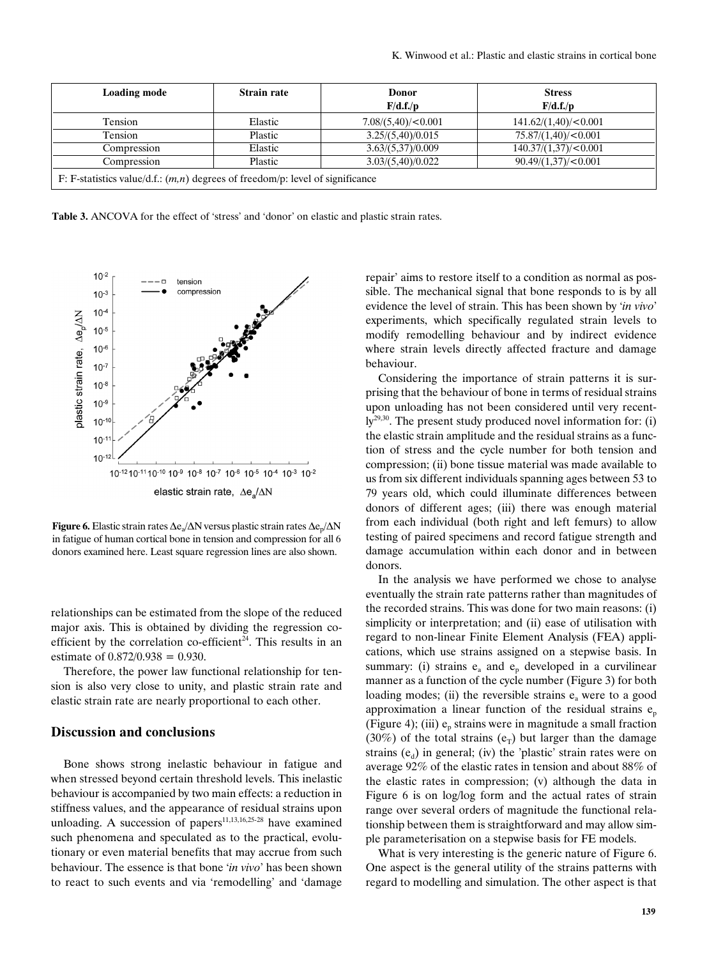| <b>Loading mode</b>                                                              | <b>Strain rate</b> | <b>Donor</b>       | <b>Stress</b>        |  |  |  |  |
|----------------------------------------------------------------------------------|--------------------|--------------------|----------------------|--|--|--|--|
|                                                                                  |                    | F/d.f./p           | F/d.f./p             |  |  |  |  |
| Tension                                                                          | Elastic            | 7.08/(5,40)/<0.001 | 141.62/(1,40)/<0.001 |  |  |  |  |
| Tension                                                                          | Plastic            | 3.25/(5,40)/0.015  | 75.87/(1,40)/<0.001  |  |  |  |  |
| Compression                                                                      | Elastic            | 3.63/(5.37)/0.009  | 140.37/(1,37)/<0.001 |  |  |  |  |
| Compression                                                                      | Plastic            | 3.03/(5,40)/0.022  | 90.49/(1,37)/<0.001  |  |  |  |  |
| F: F-statistics value/d.f.: $(m, n)$ degrees of freedom/p: level of significance |                    |                    |                      |  |  |  |  |

**Table 3.** ANCOVA for the effect of 'stress' and 'donor' on elastic and plastic strain rates.



**Figure 6.** Elastic strain rates  $\Delta e_a/\Delta N$  versus plastic strain rates  $\Delta e_p/\Delta N$ in fatigue of human cortical bone in tension and compression for all 6 donors examined here. Least square regression lines are also shown.

relationships can be estimated from the slope of the reduced major axis. This is obtained by dividing the regression coefficient by the correlation co-efficient<sup>24</sup>. This results in an estimate of 0.872/0.938 = 0.930.

Therefore, the power law functional relationship for tension is also very close to unity, and plastic strain rate and elastic strain rate are nearly proportional to each other.

# **Discussion and conclusions**

Bone shows strong inelastic behaviour in fatigue and when stressed beyond certain threshold levels. This inelastic behaviour is accompanied by two main effects: a reduction in stiffness values, and the appearance of residual strains upon unloading. A succession of papers $11,13,16,25-28$  have examined such phenomena and speculated as to the practical, evolutionary or even material benefits that may accrue from such behaviour. The essence is that bone '*in vivo*' has been shown to react to such events and via 'remodelling' and 'damage repair' aims to restore itself to a condition as normal as possible. The mechanical signal that bone responds to is by all evidence the level of strain. This has been shown by '*in vivo*' experiments, which specifically regulated strain levels to modify remodelling behaviour and by indirect evidence where strain levels directly affected fracture and damage behaviour.

Considering the importance of strain patterns it is surprising that the behaviour of bone in terms of residual strains upon unloading has not been considered until very recent- $\text{ly}^{29,30}$ . The present study produced novel information for: (i) the elastic strain amplitude and the residual strains as a function of stress and the cycle number for both tension and compression; (ii) bone tissue material was made available to us from six different individuals spanning ages between 53 to 79 years old, which could illuminate differences between donors of different ages; (iii) there was enough material from each individual (both right and left femurs) to allow testing of paired specimens and record fatigue strength and damage accumulation within each donor and in between donors.

In the analysis we have performed we chose to analyse eventually the strain rate patterns rather than magnitudes of the recorded strains. This was done for two main reasons: (i) simplicity or interpretation; and (ii) ease of utilisation with regard to non-linear Finite Element Analysis (FEA) applications, which use strains assigned on a stepwise basis. In summary: (i) strains  $e_a$  and  $e_p$  developed in a curvilinear manner as a function of the cycle number (Figure 3) for both loading modes; (ii) the reversible strains  $e_a$  were to a good approximation a linear function of the residual strains  $e_p$ (Figure 4); (iii)  $e_n$  strains were in magnitude a small fraction (30%) of the total strains ( $e_T$ ) but larger than the damage strains  $(e_d)$  in general; (iv) the 'plastic' strain rates were on average 92% of the elastic rates in tension and about 88% of the elastic rates in compression; (v) although the data in Figure 6 is on log/log form and the actual rates of strain range over several orders of magnitude the functional relationship between them is straightforward and may allow simple parameterisation on a stepwise basis for FE models.

What is very interesting is the generic nature of Figure 6. One aspect is the general utility of the strains patterns with regard to modelling and simulation. The other aspect is that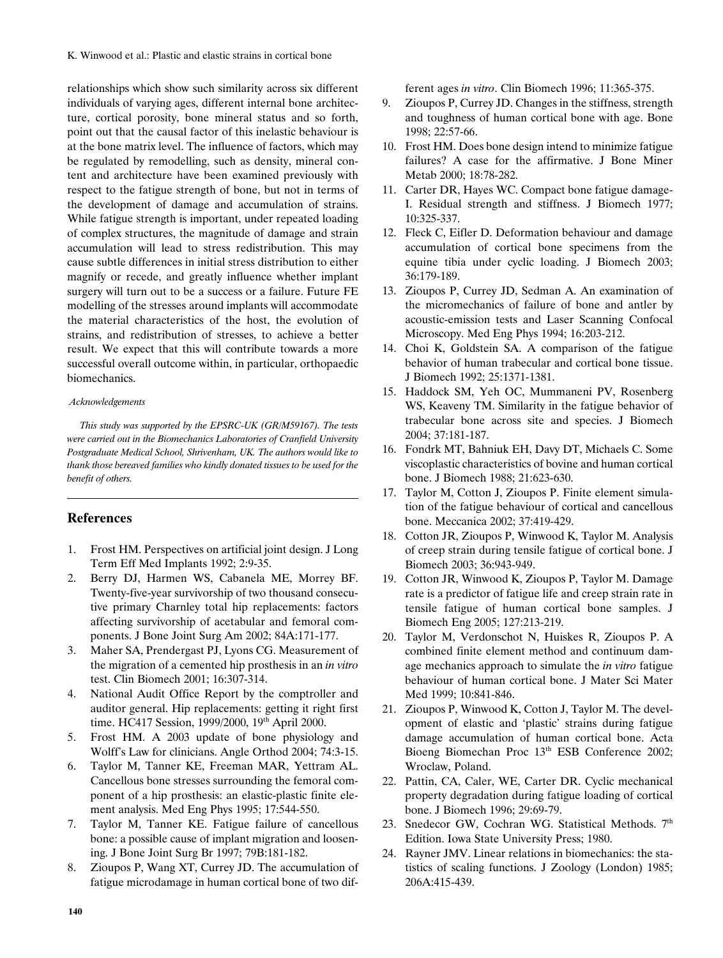relationships which show such similarity across six different individuals of varying ages, different internal bone architecture, cortical porosity, bone mineral status and so forth, point out that the causal factor of this inelastic behaviour is at the bone matrix level. The influence of factors, which may be regulated by remodelling, such as density, mineral content and architecture have been examined previously with respect to the fatigue strength of bone, but not in terms of the development of damage and accumulation of strains. While fatigue strength is important, under repeated loading of complex structures, the magnitude of damage and strain accumulation will lead to stress redistribution. This may cause subtle differences in initial stress distribution to either magnify or recede, and greatly influence whether implant surgery will turn out to be a success or a failure. Future FE modelling of the stresses around implants will accommodate the material characteristics of the host, the evolution of strains, and redistribution of stresses, to achieve a better result. We expect that this will contribute towards a more successful overall outcome within, in particular, orthopaedic biomechanics.

#### *Acknowledgements*

*This study was supported by the EPSRC-UK (GR/M59167). The tests were carried out in the Biomechanics Laboratories of Cranfield University Postgraduate Medical School, Shrivenham, UK. The authors would like to thank those bereaved families who kindly donated tissues to be used for the benefit of others.*

# **References**

- 1. Frost HM. Perspectives on artificial joint design. J Long Term Eff Med Implants 1992; 2:9-35.
- 2. Berry DJ, Harmen WS, Cabanela ME, Morrey BF. Twenty-five-year survivorship of two thousand consecutive primary Charnley total hip replacements: factors affecting survivorship of acetabular and femoral components. J Bone Joint Surg Am 2002; 84A:171-177.
- 3. Maher SA, Prendergast PJ, Lyons CG. Measurement of the migration of a cemented hip prosthesis in an *in vitro* test. Clin Biomech 2001; 16:307-314.
- 4. National Audit Office Report by the comptroller and auditor general. Hip replacements: getting it right first time. HC417 Session, 1999/2000, 19<sup>th</sup> April 2000.
- 5. Frost HM. A 2003 update of bone physiology and Wolff's Law for clinicians. Angle Orthod 2004; 74:3-15.
- 6. Taylor M, Tanner KE, Freeman MAR, Yettram AL. Cancellous bone stresses surrounding the femoral component of a hip prosthesis: an elastic-plastic finite element analysis. Med Eng Phys 1995; 17:544-550.
- 7. Taylor M, Tanner KE. Fatigue failure of cancellous bone: a possible cause of implant migration and loosening. J Bone Joint Surg Br 1997; 79B:181-182.
- 8. Zioupos P, Wang XT, Currey JD. The accumulation of fatigue microdamage in human cortical bone of two dif-

ferent ages *in vitro*. Clin Biomech 1996; 11:365-375.

- 9. Zioupos P, Currey JD. Changes in the stiffness, strength and toughness of human cortical bone with age. Bone 1998; 22:57-66.
- 10. Frost HM. Does bone design intend to minimize fatigue failures? A case for the affirmative. J Bone Miner Metab 2000; 18:78-282.
- 11. Carter DR, Hayes WC. Compact bone fatigue damage-I. Residual strength and stiffness. J Biomech 1977; 10:325-337.
- 12. Fleck C, Eifler D. Deformation behaviour and damage accumulation of cortical bone specimens from the equine tibia under cyclic loading. J Biomech 2003; 36:179-189.
- 13. Zioupos P, Currey JD, Sedman A. An examination of the micromechanics of failure of bone and antler by acoustic-emission tests and Laser Scanning Confocal Microscopy. Med Eng Phys 1994; 16:203-212.
- 14. Choi K, Goldstein SA. A comparison of the fatigue behavior of human trabecular and cortical bone tissue. J Biomech 1992; 25:1371-1381.
- 15. Haddock SM, Yeh OC, Mummaneni PV, Rosenberg WS, Keaveny TM. Similarity in the fatigue behavior of trabecular bone across site and species. J Biomech 2004; 37:181-187.
- 16. Fondrk MT, Bahniuk EH, Davy DT, Michaels C. Some viscoplastic characteristics of bovine and human cortical bone. J Biomech 1988; 21:623-630.
- 17. Taylor M, Cotton J, Zioupos P. Finite element simulation of the fatigue behaviour of cortical and cancellous bone. Meccanica 2002; 37:419-429.
- 18. Cotton JR, Zioupos P, Winwood K, Taylor M. Analysis of creep strain during tensile fatigue of cortical bone. J Biomech 2003; 36:943-949.
- 19. Cotton JR, Winwood K, Zioupos P, Taylor M. Damage rate is a predictor of fatigue life and creep strain rate in tensile fatigue of human cortical bone samples. J Biomech Eng 2005; 127:213-219.
- 20. Taylor M, Verdonschot N, Huiskes R, Zioupos P. A combined finite element method and continuum damage mechanics approach to simulate the *in vitro* fatigue behaviour of human cortical bone. J Mater Sci Mater Med 1999; 10:841-846.
- 21. Zioupos P, Winwood K, Cotton J, Taylor M. The development of elastic and 'plastic' strains during fatigue damage accumulation of human cortical bone. Acta Bioeng Biomechan Proc 13<sup>th</sup> ESB Conference 2002; Wroclaw, Poland.
- 22. Pattin, CA, Caler, WE, Carter DR. Cyclic mechanical property degradation during fatigue loading of cortical bone. J Biomech 1996; 29:69-79.
- 23. Snedecor GW, Cochran WG. Statistical Methods. 7<sup>th</sup> Edition. Iowa State University Press; 1980.
- 24. Rayner JMV. Linear relations in biomechanics: the statistics of scaling functions. J Zoology (London) 1985; 206A:415-439.